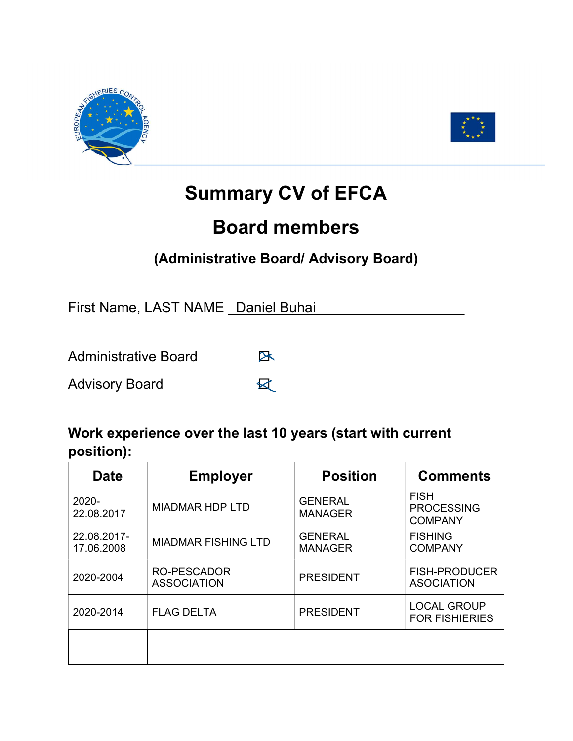



## **Summary CV of EFCA**

## **Board members**

## **(Administrative Board/ Advisory Board)**

First Name, LAST NAME \_Daniel Buhai

Administrative Board B

Advisory Board **区** 

## **Work experience over the last 10 years (start with current position):**

| <b>Date</b>               | <b>Employer</b>                          | <b>Position</b>                  | <b>Comments</b>                                    |
|---------------------------|------------------------------------------|----------------------------------|----------------------------------------------------|
| 2020-<br>22.08.2017       | <b>MIADMAR HDP LTD</b>                   | <b>GENERAL</b><br><b>MANAGER</b> | <b>FISH</b><br><b>PROCESSING</b><br><b>COMPANY</b> |
| 22.08.2017-<br>17.06.2008 | <b>MIADMAR FISHING LTD</b>               | <b>GENERAL</b><br><b>MANAGER</b> | <b>FISHING</b><br><b>COMPANY</b>                   |
| 2020-2004                 | <b>RO-PESCADOR</b><br><b>ASSOCIATION</b> | <b>PRESIDENT</b>                 | <b>FISH-PRODUCER</b><br><b>ASOCIATION</b>          |
| 2020-2014                 | <b>FLAG DELTA</b>                        | <b>PRESIDENT</b>                 | <b>LOCAL GROUP</b><br><b>FOR FISHIERIES</b>        |
|                           |                                          |                                  |                                                    |